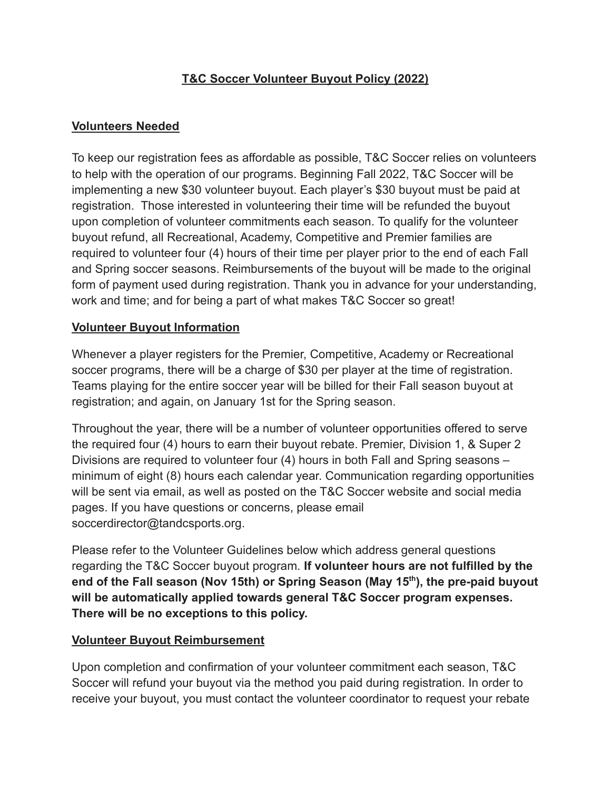## **T&C Soccer Volunteer Buyout Policy (2022)**

### **Volunteers Needed**

To keep our registration fees as affordable as possible, T&C Soccer relies on volunteers to help with the operation of our programs. Beginning Fall 2022, T&C Soccer will be implementing a new \$30 volunteer buyout. Each player's \$30 buyout must be paid at registration. Those interested in volunteering their time will be refunded the buyout upon completion of volunteer commitments each season. To qualify for the volunteer buyout refund, all Recreational, Academy, Competitive and Premier families are required to volunteer four (4) hours of their time per player prior to the end of each Fall and Spring soccer seasons. Reimbursements of the buyout will be made to the original form of payment used during registration. Thank you in advance for your understanding, work and time; and for being a part of what makes T&C Soccer so great!

#### **Volunteer Buyout Information**

Whenever a player registers for the Premier, Competitive, Academy or Recreational soccer programs, there will be a charge of \$30 per player at the time of registration. Teams playing for the entire soccer year will be billed for their Fall season buyout at registration; and again, on January 1st for the Spring season.

Throughout the year, there will be a number of volunteer opportunities offered to serve the required four (4) hours to earn their buyout rebate. Premier, Division 1, & Super 2 Divisions are required to volunteer four (4) hours in both Fall and Spring seasons – minimum of eight (8) hours each calendar year. Communication regarding opportunities will be sent via email, as well as posted on the T&C Soccer website and social media pages. If you have questions or concerns, please email soccerdirector@tandcsports.org.

Please refer to the Volunteer Guidelines below which address general questions regarding the T&C Soccer buyout program. **If volunteer hours are not fulfilled by the end of the Fall season (Nov 15th) or Spring Season (May 15th ), the pre-paid buyout will be automatically applied towards general T&C Soccer program expenses. There will be no exceptions to this policy.**

#### **Volunteer Buyout Reimbursement**

Upon completion and confirmation of your volunteer commitment each season, T&C Soccer will refund your buyout via the method you paid during registration. In order to receive your buyout, you must contact the volunteer coordinator to request your rebate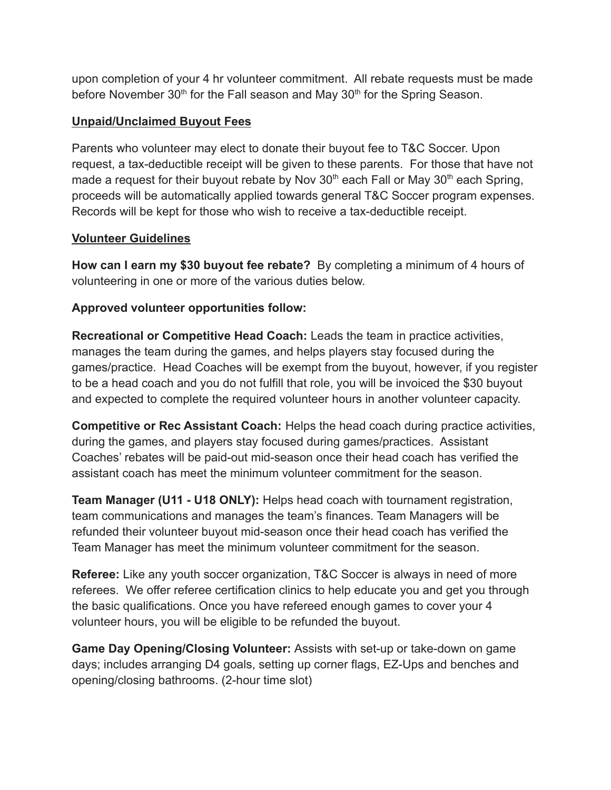upon completion of your 4 hr volunteer commitment. All rebate requests must be made before November 30<sup>th</sup> for the Fall season and May 30<sup>th</sup> for the Spring Season.

### **Unpaid/Unclaimed Buyout Fees**

Parents who volunteer may elect to donate their buyout fee to T&C Soccer. Upon request, a tax-deductible receipt will be given to these parents. For those that have not made a request for their buyout rebate by Nov  $30<sup>th</sup>$  each Fall or May  $30<sup>th</sup>$  each Spring, proceeds will be automatically applied towards general T&C Soccer program expenses. Records will be kept for those who wish to receive a tax-deductible receipt.

### **Volunteer Guidelines**

**How can I earn my \$30 buyout fee rebate?** By completing a minimum of 4 hours of volunteering in one or more of the various duties below.

# **Approved volunteer opportunities follow:**

**Recreational or Competitive Head Coach:** Leads the team in practice activities, manages the team during the games, and helps players stay focused during the games/practice. Head Coaches will be exempt from the buyout, however, if you register to be a head coach and you do not fulfill that role, you will be invoiced the \$30 buyout and expected to complete the required volunteer hours in another volunteer capacity.

**Competitive or Rec Assistant Coach:** Helps the head coach during practice activities, during the games, and players stay focused during games/practices. Assistant Coaches' rebates will be paid-out mid-season once their head coach has verified the assistant coach has meet the minimum volunteer commitment for the season.

**Team Manager (U11 - U18 ONLY):** Helps head coach with tournament registration, team communications and manages the team's finances. Team Managers will be refunded their volunteer buyout mid-season once their head coach has verified the Team Manager has meet the minimum volunteer commitment for the season.

**Referee:** Like any youth soccer organization, T&C Soccer is always in need of more referees. We offer referee certification clinics to help educate you and get you through the basic qualifications. Once you have refereed enough games to cover your 4 volunteer hours, you will be eligible to be refunded the buyout.

**Game Day Opening/Closing Volunteer:** Assists with set-up or take-down on game days; includes arranging D4 goals, setting up corner flags, EZ-Ups and benches and opening/closing bathrooms. (2-hour time slot)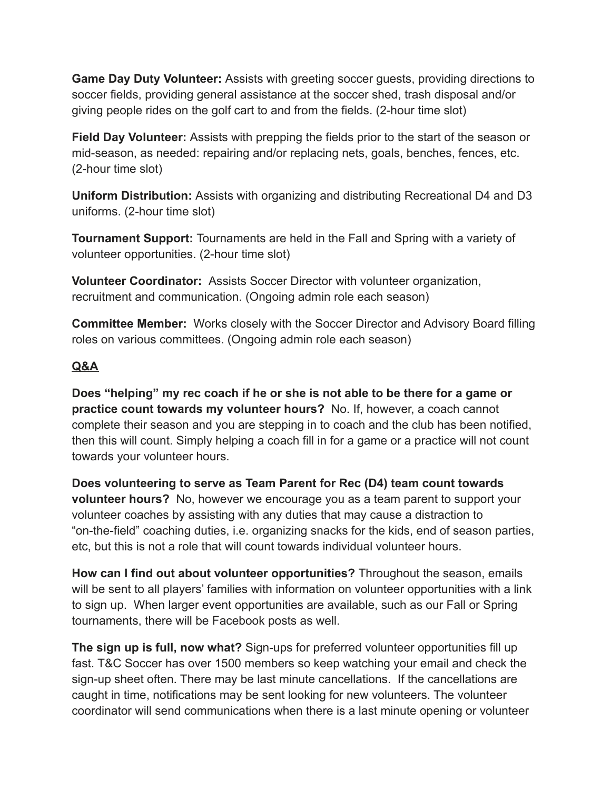**Game Day Duty Volunteer:** Assists with greeting soccer guests, providing directions to soccer fields, providing general assistance at the soccer shed, trash disposal and/or giving people rides on the golf cart to and from the fields. (2-hour time slot)

**Field Day Volunteer:** Assists with prepping the fields prior to the start of the season or mid-season, as needed: repairing and/or replacing nets, goals, benches, fences, etc. (2-hour time slot)

**Uniform Distribution:** Assists with organizing and distributing Recreational D4 and D3 uniforms. (2-hour time slot)

**Tournament Support:** Tournaments are held in the Fall and Spring with a variety of volunteer opportunities. (2-hour time slot)

**Volunteer Coordinator:** Assists Soccer Director with volunteer organization, recruitment and communication. (Ongoing admin role each season)

**Committee Member:** Works closely with the Soccer Director and Advisory Board filling roles on various committees. (Ongoing admin role each season)

# **Q&A**

**Does "helping" my rec coach if he or she is not able to be there for a game or practice count towards my volunteer hours?** No. If, however, a coach cannot complete their season and you are stepping in to coach and the club has been notified, then this will count. Simply helping a coach fill in for a game or a practice will not count towards your volunteer hours.

**Does volunteering to serve as Team Parent for Rec (D4) team count towards volunteer hours?** No, however we encourage you as a team parent to support your volunteer coaches by assisting with any duties that may cause a distraction to "on-the-field" coaching duties, i.e. organizing snacks for the kids, end of season parties, etc, but this is not a role that will count towards individual volunteer hours.

**How can I find out about volunteer opportunities?** Throughout the season, emails will be sent to all players' families with information on volunteer opportunities with a link to sign up. When larger event opportunities are available, such as our Fall or Spring tournaments, there will be Facebook posts as well.

**The sign up is full, now what?** Sign-ups for preferred volunteer opportunities fill up fast. T&C Soccer has over 1500 members so keep watching your email and check the sign-up sheet often. There may be last minute cancellations. If the cancellations are caught in time, notifications may be sent looking for new volunteers. The volunteer coordinator will send communications when there is a last minute opening or volunteer